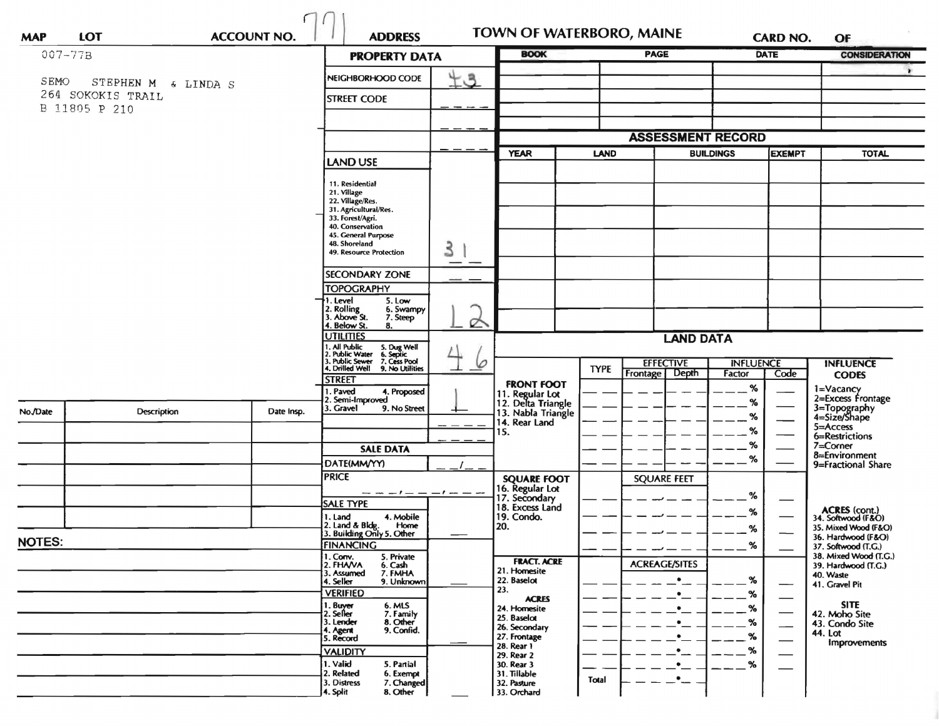| <b>MAP</b>    | <b>LOT</b>          | <b>ACCOUNT NO.</b> | <b>ADDRESS</b>                                                                                  |          | TOWN OF WATERBORO, MAINE                   |             |                          |           | <b>CARD NO.</b>  | OF                                                                 |
|---------------|---------------------|--------------------|-------------------------------------------------------------------------------------------------|----------|--------------------------------------------|-------------|--------------------------|-----------|------------------|--------------------------------------------------------------------|
| $007 - 77B$   |                     |                    | <b>PROPERTY DATA</b>                                                                            |          | <b>BOOK</b>                                |             | <b>PAGE</b>              |           | <b>DATE</b>      | <b>CONSIDERATION</b>                                               |
| SEMO          | STEPHEN M & LINDA S |                    | $+3$<br>NEIGHBORHOOD CODE                                                                       |          |                                            |             |                          |           |                  |                                                                    |
|               | 264 SOKOKIS TRAIL   |                    | <b>STREET CODE</b>                                                                              |          |                                            |             |                          |           |                  |                                                                    |
|               | B 11805 P 210       |                    |                                                                                                 |          |                                            |             |                          |           |                  |                                                                    |
|               |                     |                    |                                                                                                 |          |                                            |             | <b>ASSESSMENT RECORD</b> |           |                  |                                                                    |
|               |                     |                    |                                                                                                 |          | <b>YEAR</b><br><b>LAND</b>                 |             | <b>BUILDINGS</b>         |           | <b>EXEMPT</b>    | <b>TOTAL</b>                                                       |
|               |                     |                    | <b>LAND USE</b>                                                                                 |          |                                            |             |                          |           |                  |                                                                    |
|               |                     |                    | 11. Residential<br>21. Village<br>22. Village/Res.<br>31. Agricultural/Res.                     |          |                                            |             |                          |           |                  |                                                                    |
|               |                     |                    | 33. Forest/Agri.<br>40. Conservation                                                            |          |                                            |             |                          |           |                  |                                                                    |
|               |                     |                    | 45. General Purpose<br>48. Shoreland                                                            |          |                                            |             |                          |           |                  |                                                                    |
|               |                     |                    | 49. Resource Protection                                                                         | 3        |                                            |             |                          |           |                  |                                                                    |
|               |                     |                    | <b>SECONDARY ZONE</b>                                                                           |          |                                            |             |                          |           |                  |                                                                    |
|               |                     |                    | <b>TOPOGRAPHY</b>                                                                               |          |                                            |             |                          |           |                  |                                                                    |
|               |                     |                    | . Level<br>5. Low<br>2. Rolling<br>3. Above St.<br>6. Swampy<br>7. Steep<br>4. Below St.<br>8.  | $\sigma$ |                                            |             |                          |           |                  |                                                                    |
|               |                     |                    | <b>UTILITIES</b>                                                                                |          |                                            |             | <b>LAND DATA</b>         |           |                  |                                                                    |
|               |                     |                    | 1, All Public<br>2, Public Water<br>3, Public Sewer<br>5. Dug Well<br>6. Septic<br>7. Cess Pool | 6        |                                            |             | <b>EFFECTIVE</b>         |           | <b>INFLUENCE</b> | <b>INFLUENCE</b>                                                   |
|               |                     |                    | t, Drilled Well<br>9. No Utilities<br>STREET                                                    |          | <b>FRONT FOOT</b>                          | <b>TYPE</b> | Frontage<br>Depth        | Factor    | Code             | <b>CODES</b>                                                       |
|               |                     |                    | . Paved<br>4. Proposed<br>2. Semi-Improved                                                      |          | 11. Regular Lot<br>12. Delta Triangle      |             |                          | %<br>%    |                  | 1=Vacancy<br>2=Excess Frontage                                     |
| No./Date      | Description         | Date Insp.         | 3. Gravel<br>9. No Street                                                                       |          | 13. Nabla Triangle<br>14. Rear Land<br>15. |             |                          | %         |                  | 3=Topography<br>4=Size/Shape                                       |
|               |                     |                    |                                                                                                 |          |                                            |             |                          | %         |                  | 5=Access<br>6=Restrictions                                         |
|               |                     |                    | <b>SALE DATA</b>                                                                                |          |                                            |             |                          | %         |                  | 7=Corner<br>8=Environment                                          |
|               |                     |                    | DATE(MM/YY)                                                                                     |          |                                            |             |                          | %         |                  | 9=Fractional Share                                                 |
|               |                     |                    | <b>PRICE</b>                                                                                    |          | <b>SQUARE FOOT</b><br>16. Regular Lot      |             | <b>SQUARE FEET</b>       |           |                  |                                                                    |
|               |                     |                    | — — <i>— I — — — I — — —</i><br><b>SALE TYPE</b>                                                |          | 17. Secondary<br>18. Excess Land           |             |                          | %         |                  |                                                                    |
|               |                     |                    | 4. Mobile<br>1. Land<br>2. Land & Bldg.<br>Home                                                 |          | 19. Condo.<br>20.                          |             |                          | %         |                  | <b>ACRES</b> (cont.)<br>34. Softwood (F&O)<br>35. Mixed Wood (F&O) |
| <b>NOTES:</b> |                     |                    | 3. Building Only 5. Other                                                                       |          |                                            |             |                          | %         |                  | 36. Hardwood (F&O)                                                 |
|               |                     |                    | <b>FINANCING</b><br>1. Conv.<br>5. Private                                                      |          | <b>FRACT. ACRE</b>                         |             |                          | %         |                  | 37. Softwood (T.G.)<br>38. Mixed Wood (T.G.)                       |
|               |                     |                    | 2. FHAVA<br>6. Cash<br>7. FMHA<br>3. Assumed                                                    |          | 21. Homesite<br>22. Baselot                |             | <b>ACREAGE/SITES</b>     | %         |                  | 39. Hardwood (T.G.)<br>40. Waste                                   |
|               |                     |                    | 4. Seller<br>9. Unknown<br><b>VERIFIED</b>                                                      |          | 23.                                        |             |                          | %         |                  | 41. Gravel Pit                                                     |
|               |                     |                    | 1. Buyer<br>2. Seller<br>6. MLS<br>7. Family                                                    |          | <b>ACRES</b><br>24. Homesite               |             | ۰                        | $\%$      |                  | <b>SITE</b><br>42. Moho Site                                       |
|               |                     |                    | 8. Other<br>3. Lender<br>9. Confid.                                                             |          | 25. Baselot<br>26. Secondary               |             | $\bullet$                | $\%$      |                  | 43. Condo Site<br>44. Lot                                          |
|               |                     |                    | 4. Agent<br>5. Record                                                                           |          | 27. Frontage<br>28. Rear 1                 |             | $\bullet$<br>$\bullet$   | $\%$<br>% |                  | Improvements                                                       |
|               |                     |                    | <b>VALIDITY</b><br>1. Valid<br>5. Partial                                                       |          | 29. Rear 2<br>30. Rear 3                   |             | $\bullet$                | %         |                  |                                                                    |
|               |                     |                    | 2. Related<br>6. Exempt<br>3. Distress<br>7. Changed<br>8. Other<br>4. Split                    |          | 31. Tillable<br>32. Pasture<br>33. Orchard | Total       | $\bullet$                |           |                  |                                                                    |